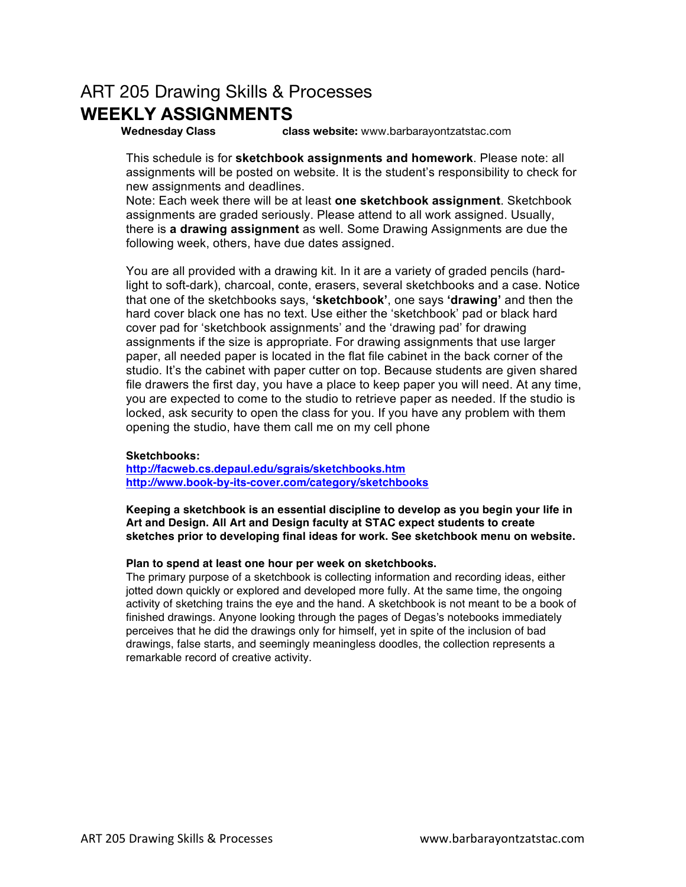## ART 205 Drawing Skills & Processes **WEEKLY ASSIGNMENTS**

**Wednesday Class class website:** www.barbarayontzatstac.com

This schedule is for **sketchbook assignments and homework**. Please note: all assignments will be posted on website. It is the student's responsibility to check for new assignments and deadlines.

Note: Each week there will be at least **one sketchbook assignment**. Sketchbook assignments are graded seriously. Please attend to all work assigned. Usually, there is **a drawing assignment** as well. Some Drawing Assignments are due the following week, others, have due dates assigned.

You are all provided with a drawing kit. In it are a variety of graded pencils (hardlight to soft-dark), charcoal, conte, erasers, several sketchbooks and a case. Notice that one of the sketchbooks says, **'sketchbook'**, one says **'drawing'** and then the hard cover black one has no text. Use either the 'sketchbook' pad or black hard cover pad for 'sketchbook assignments' and the 'drawing pad' for drawing assignments if the size is appropriate. For drawing assignments that use larger paper, all needed paper is located in the flat file cabinet in the back corner of the studio. It's the cabinet with paper cutter on top. Because students are given shared file drawers the first day, you have a place to keep paper you will need. At any time, you are expected to come to the studio to retrieve paper as needed. If the studio is locked, ask security to open the class for you. If you have any problem with them opening the studio, have them call me on my cell phone

## **Sketchbooks:**

**http://facweb.cs.depaul.edu/sgrais/sketchbooks.htm http://www.book-by-its-cover.com/category/sketchbooks**

**Keeping a sketchbook is an essential discipline to develop as you begin your life in Art and Design. All Art and Design faculty at STAC expect students to create sketches prior to developing final ideas for work. See sketchbook menu on website.**

## **Plan to spend at least one hour per week on sketchbooks.**

The primary purpose of a sketchbook is collecting information and recording ideas, either jotted down quickly or explored and developed more fully. At the same time, the ongoing activity of sketching trains the eye and the hand. A sketchbook is not meant to be a book of finished drawings. Anyone looking through the pages of Degas's notebooks immediately perceives that he did the drawings only for himself, yet in spite of the inclusion of bad drawings, false starts, and seemingly meaningless doodles, the collection represents a remarkable record of creative activity.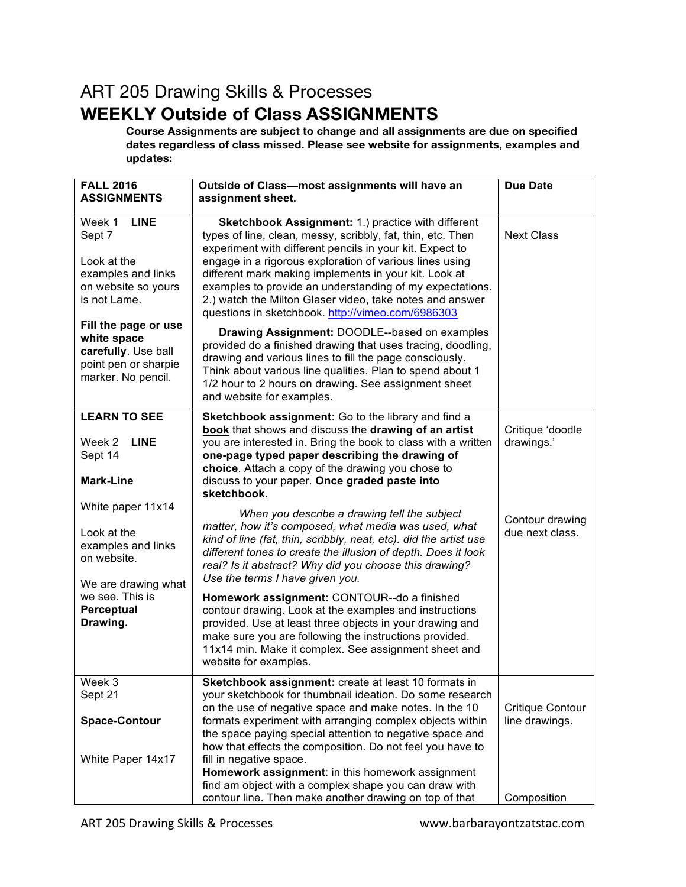## ART 205 Drawing Skills & Processes **WEEKLY Outside of Class ASSIGNMENTS**

**Course Assignments are subject to change and all assignments are due on specified dates regardless of class missed. Please see website for assignments, examples and updates:**

| <b>FALL 2016</b>                                                                                                                                                                                                        | Outside of Class-most assignments will have an                                                                                                                                                                                                                                                                                                                                                                                                                                                                                                                                                                                                                                                                                                                                        | <b>Due Date</b>                           |
|-------------------------------------------------------------------------------------------------------------------------------------------------------------------------------------------------------------------------|---------------------------------------------------------------------------------------------------------------------------------------------------------------------------------------------------------------------------------------------------------------------------------------------------------------------------------------------------------------------------------------------------------------------------------------------------------------------------------------------------------------------------------------------------------------------------------------------------------------------------------------------------------------------------------------------------------------------------------------------------------------------------------------|-------------------------------------------|
| <b>ASSIGNMENTS</b>                                                                                                                                                                                                      | assignment sheet.                                                                                                                                                                                                                                                                                                                                                                                                                                                                                                                                                                                                                                                                                                                                                                     |                                           |
| <b>LINE</b><br>Week 1<br>Sept 7<br>Look at the<br>examples and links<br>on website so yours<br>is not Lame.<br>Fill the page or use<br>white space<br>carefully. Use ball<br>point pen or sharpie<br>marker. No pencil. | Sketchbook Assignment: 1.) practice with different<br>types of line, clean, messy, scribbly, fat, thin, etc. Then<br>experiment with different pencils in your kit. Expect to<br>engage in a rigorous exploration of various lines using<br>different mark making implements in your kit. Look at<br>examples to provide an understanding of my expectations.<br>2.) watch the Milton Glaser video, take notes and answer<br>questions in sketchbook. http://vimeo.com/6986303<br><b>Drawing Assignment: DOODLE--based on examples</b><br>provided do a finished drawing that uses tracing, doodling,<br>drawing and various lines to fill the page consciously.<br>Think about various line qualities. Plan to spend about 1<br>1/2 hour to 2 hours on drawing. See assignment sheet | <b>Next Class</b>                         |
|                                                                                                                                                                                                                         | and website for examples.                                                                                                                                                                                                                                                                                                                                                                                                                                                                                                                                                                                                                                                                                                                                                             |                                           |
| <b>LEARN TO SEE</b><br><b>LINE</b><br>Week 2<br>Sept 14<br><b>Mark-Line</b>                                                                                                                                             | Sketchbook assignment: Go to the library and find a<br>book that shows and discuss the drawing of an artist<br>you are interested in. Bring the book to class with a written<br>one-page typed paper describing the drawing of<br>choice. Attach a copy of the drawing you chose to<br>discuss to your paper. Once graded paste into<br>sketchbook.                                                                                                                                                                                                                                                                                                                                                                                                                                   | Critique 'doodle<br>drawings.'            |
| White paper 11x14<br>Look at the<br>examples and links<br>on website.<br>We are drawing what                                                                                                                            | When you describe a drawing tell the subject<br>matter, how it's composed, what media was used, what<br>kind of line (fat, thin, scribbly, neat, etc). did the artist use<br>different tones to create the illusion of depth. Does it look<br>real? Is it abstract? Why did you choose this drawing?<br>Use the terms I have given you.                                                                                                                                                                                                                                                                                                                                                                                                                                               | Contour drawing<br>due next class.        |
| we see. This is<br>Perceptual<br>Drawing.                                                                                                                                                                               | Homework assignment: CONTOUR--do a finished<br>contour drawing. Look at the examples and instructions<br>provided. Use at least three objects in your drawing and<br>make sure you are following the instructions provided.<br>11x14 min. Make it complex. See assignment sheet and<br>website for examples.                                                                                                                                                                                                                                                                                                                                                                                                                                                                          |                                           |
| Week 3<br>Sept 21<br><b>Space-Contour</b><br>White Paper 14x17                                                                                                                                                          | Sketchbook assignment: create at least 10 formats in<br>your sketchbook for thumbnail ideation. Do some research<br>on the use of negative space and make notes. In the 10<br>formats experiment with arranging complex objects within<br>the space paying special attention to negative space and<br>how that effects the composition. Do not feel you have to<br>fill in negative space.                                                                                                                                                                                                                                                                                                                                                                                            | <b>Critique Contour</b><br>line drawings. |
|                                                                                                                                                                                                                         | Homework assignment: in this homework assignment<br>find am object with a complex shape you can draw with<br>contour line. Then make another drawing on top of that                                                                                                                                                                                                                                                                                                                                                                                                                                                                                                                                                                                                                   | Composition                               |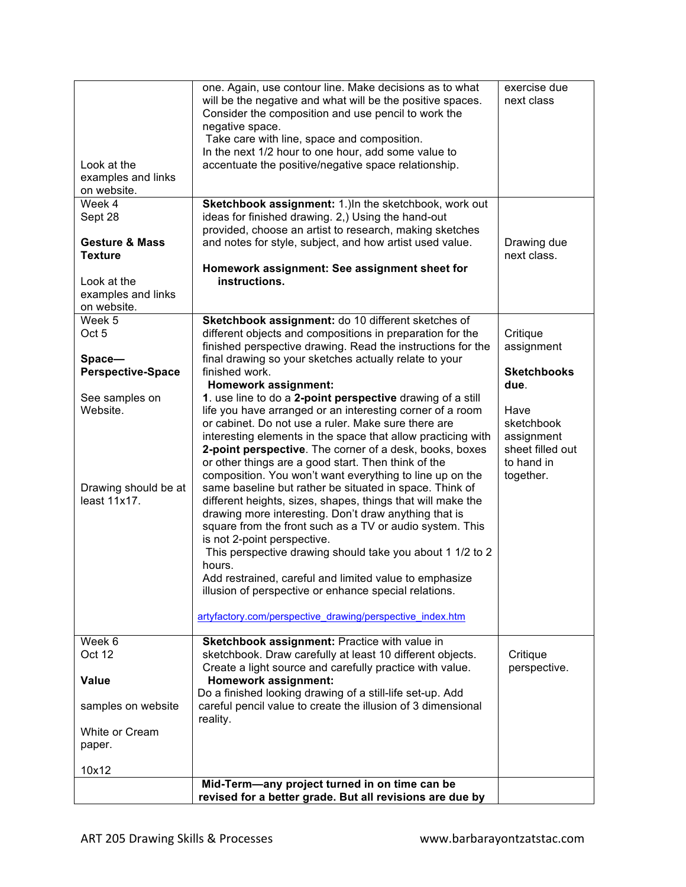| Look at the<br>examples and links<br>on website.                                                                            | one. Again, use contour line. Make decisions as to what<br>will be the negative and what will be the positive spaces.<br>Consider the composition and use pencil to work the<br>negative space.<br>Take care with line, space and composition.<br>In the next 1/2 hour to one hour, add some value to<br>accentuate the positive/negative space relationship.                                                                                                                                                                                                                                                                                                                                                                                                                                                                                                                                                                                                                                                                                                                                                                                                                                                                                           | exercise due<br>next class                                                                                                              |
|-----------------------------------------------------------------------------------------------------------------------------|---------------------------------------------------------------------------------------------------------------------------------------------------------------------------------------------------------------------------------------------------------------------------------------------------------------------------------------------------------------------------------------------------------------------------------------------------------------------------------------------------------------------------------------------------------------------------------------------------------------------------------------------------------------------------------------------------------------------------------------------------------------------------------------------------------------------------------------------------------------------------------------------------------------------------------------------------------------------------------------------------------------------------------------------------------------------------------------------------------------------------------------------------------------------------------------------------------------------------------------------------------|-----------------------------------------------------------------------------------------------------------------------------------------|
| Week 4<br>Sept 28<br><b>Gesture &amp; Mass</b><br><b>Texture</b><br>Look at the<br>examples and links<br>on website.        | Sketchbook assignment: 1.) In the sketchbook, work out<br>ideas for finished drawing. 2,) Using the hand-out<br>provided, choose an artist to research, making sketches<br>and notes for style, subject, and how artist used value.<br>Homework assignment: See assignment sheet for<br>instructions.                                                                                                                                                                                                                                                                                                                                                                                                                                                                                                                                                                                                                                                                                                                                                                                                                                                                                                                                                   | Drawing due<br>next class.                                                                                                              |
| Week 5<br>Oct 5<br>Space-<br><b>Perspective-Space</b><br>See samples on<br>Website.<br>Drawing should be at<br>least 11x17. | Sketchbook assignment: do 10 different sketches of<br>different objects and compositions in preparation for the<br>finished perspective drawing. Read the instructions for the<br>final drawing so your sketches actually relate to your<br>finished work.<br>Homework assignment:<br>1. use line to do a 2-point perspective drawing of a still<br>life you have arranged or an interesting corner of a room<br>or cabinet. Do not use a ruler. Make sure there are<br>interesting elements in the space that allow practicing with<br>2-point perspective. The corner of a desk, books, boxes<br>or other things are a good start. Then think of the<br>composition. You won't want everything to line up on the<br>same baseline but rather be situated in space. Think of<br>different heights, sizes, shapes, things that will make the<br>drawing more interesting. Don't draw anything that is<br>square from the front such as a TV or audio system. This<br>is not 2-point perspective.<br>This perspective drawing should take you about 1 1/2 to 2<br>hours.<br>Add restrained, careful and limited value to emphasize<br>illusion of perspective or enhance special relations.<br>artyfactory.com/perspective drawing/perspective index.htm | Critique<br>assignment<br><b>Sketchbooks</b><br>due.<br>Have<br>sketchbook<br>assignment<br>sheet filled out<br>to hand in<br>together. |
| Week 6<br>Oct 12<br><b>Value</b><br>samples on website<br>White or Cream<br>paper.<br>10x12                                 | Sketchbook assignment: Practice with value in<br>sketchbook. Draw carefully at least 10 different objects.<br>Create a light source and carefully practice with value.<br><b>Homework assignment:</b><br>Do a finished looking drawing of a still-life set-up. Add<br>careful pencil value to create the illusion of 3 dimensional<br>reality.<br>Mid-Term-any project turned in on time can be                                                                                                                                                                                                                                                                                                                                                                                                                                                                                                                                                                                                                                                                                                                                                                                                                                                         | Critique<br>perspective.                                                                                                                |
|                                                                                                                             | revised for a better grade. But all revisions are due by                                                                                                                                                                                                                                                                                                                                                                                                                                                                                                                                                                                                                                                                                                                                                                                                                                                                                                                                                                                                                                                                                                                                                                                                |                                                                                                                                         |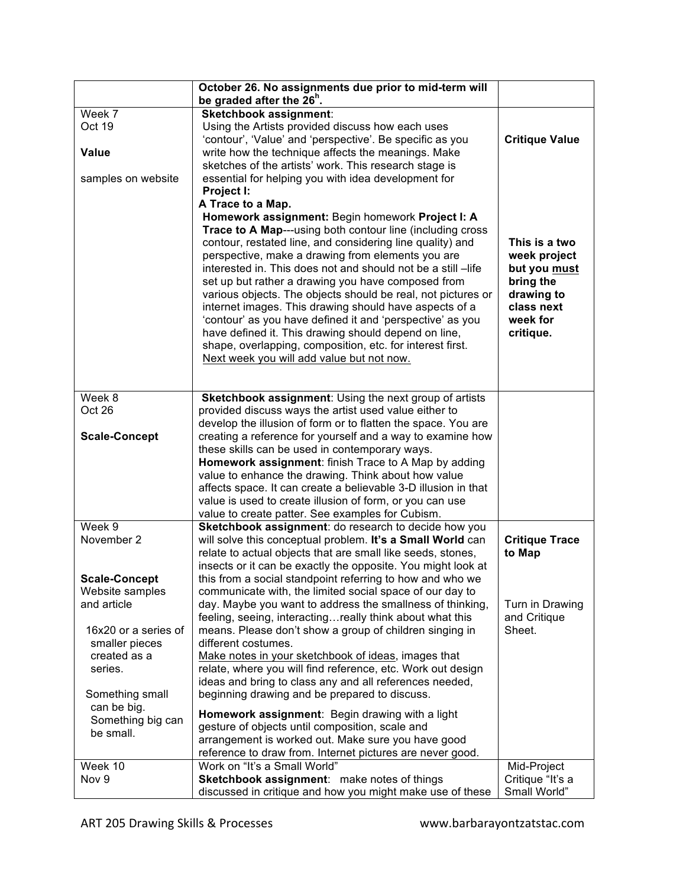| be graded after the 26 <sup>n</sup> .                                                                                      | October 26. No assignments due prior to mid-term will |                       |
|----------------------------------------------------------------------------------------------------------------------------|-------------------------------------------------------|-----------------------|
| Week 7<br>Sketchbook assignment:                                                                                           |                                                       |                       |
| Oct 19<br>Using the Artists provided discuss how each uses                                                                 |                                                       |                       |
| 'contour', 'Value' and 'perspective'. Be specific as you                                                                   |                                                       | <b>Critique Value</b> |
| Value<br>write how the technique affects the meanings. Make                                                                |                                                       |                       |
| sketches of the artists' work. This research stage is                                                                      |                                                       |                       |
| essential for helping you with idea development for<br>samples on website                                                  |                                                       |                       |
| Project I:                                                                                                                 |                                                       |                       |
| A Trace to a Map.                                                                                                          |                                                       |                       |
| Homework assignment: Begin homework Project I: A                                                                           |                                                       |                       |
| Trace to A Map---using both contour line (including cross                                                                  |                                                       |                       |
| contour, restated line, and considering line quality) and                                                                  |                                                       | This is a two         |
| perspective, make a drawing from elements you are                                                                          |                                                       | week project          |
| interested in. This does not and should not be a still -life                                                               |                                                       | but you must          |
| set up but rather a drawing you have composed from                                                                         |                                                       | bring the             |
| various objects. The objects should be real, not pictures or                                                               |                                                       | drawing to            |
| internet images. This drawing should have aspects of a                                                                     |                                                       | class next            |
| 'contour' as you have defined it and 'perspective' as you                                                                  |                                                       | week for              |
| have defined it. This drawing should depend on line,                                                                       |                                                       | critique.             |
| shape, overlapping, composition, etc. for interest first.                                                                  |                                                       |                       |
| Next week you will add value but not now.                                                                                  |                                                       |                       |
|                                                                                                                            |                                                       |                       |
|                                                                                                                            |                                                       |                       |
| Week 8<br>Sketchbook assignment: Using the next group of artists                                                           |                                                       |                       |
| Oct 26<br>provided discuss ways the artist used value either to                                                            |                                                       |                       |
| develop the illusion of form or to flatten the space. You are                                                              |                                                       |                       |
| <b>Scale-Concept</b><br>creating a reference for yourself and a way to examine how                                         |                                                       |                       |
| these skills can be used in contemporary ways.                                                                             |                                                       |                       |
| Homework assignment: finish Trace to A Map by adding                                                                       |                                                       |                       |
| value to enhance the drawing. Think about how value                                                                        |                                                       |                       |
| affects space. It can create a believable 3-D illusion in that<br>value is used to create illusion of form, or you can use |                                                       |                       |
| value to create patter. See examples for Cubism.                                                                           |                                                       |                       |
| Week 9<br>Sketchbook assignment: do research to decide how you                                                             |                                                       |                       |
| November 2<br>will solve this conceptual problem. It's a Small World can                                                   |                                                       | <b>Critique Trace</b> |
| relate to actual objects that are small like seeds, stones,                                                                |                                                       | to Map                |
| insects or it can be exactly the opposite. You might look at                                                               |                                                       |                       |
| this from a social standpoint referring to how and who we<br><b>Scale-Concept</b>                                          |                                                       |                       |
| communicate with, the limited social space of our day to<br>Website samples                                                |                                                       |                       |
| and article<br>day. Maybe you want to address the smallness of thinking,                                                   |                                                       | Turn in Drawing       |
| feeling, seeing, interactingreally think about what this                                                                   |                                                       | and Critique          |
| means. Please don't show a group of children singing in<br>16x20 or a series of                                            |                                                       | Sheet.                |
| smaller pieces<br>different costumes.                                                                                      |                                                       |                       |
| Make notes in your sketchbook of ideas, images that<br>created as a                                                        |                                                       |                       |
| relate, where you will find reference, etc. Work out design<br>series.                                                     |                                                       |                       |
| ideas and bring to class any and all references needed,                                                                    |                                                       |                       |
| beginning drawing and be prepared to discuss.<br>Something small                                                           |                                                       |                       |
| can be big.                                                                                                                |                                                       |                       |
| Homework assignment: Begin drawing with a light<br>Something big can                                                       |                                                       |                       |
| gesture of objects until composition, scale and<br>be small.                                                               |                                                       |                       |
| arrangement is worked out. Make sure you have good<br>reference to draw from. Internet pictures are never good.            |                                                       |                       |
| Week 10<br>Work on "It's a Small World"                                                                                    |                                                       | Mid-Project           |
| Nov 9<br>Sketchbook assignment: make notes of things                                                                       |                                                       | Critique "It's a      |
| discussed in critique and how you might make use of these                                                                  |                                                       | Small World"          |